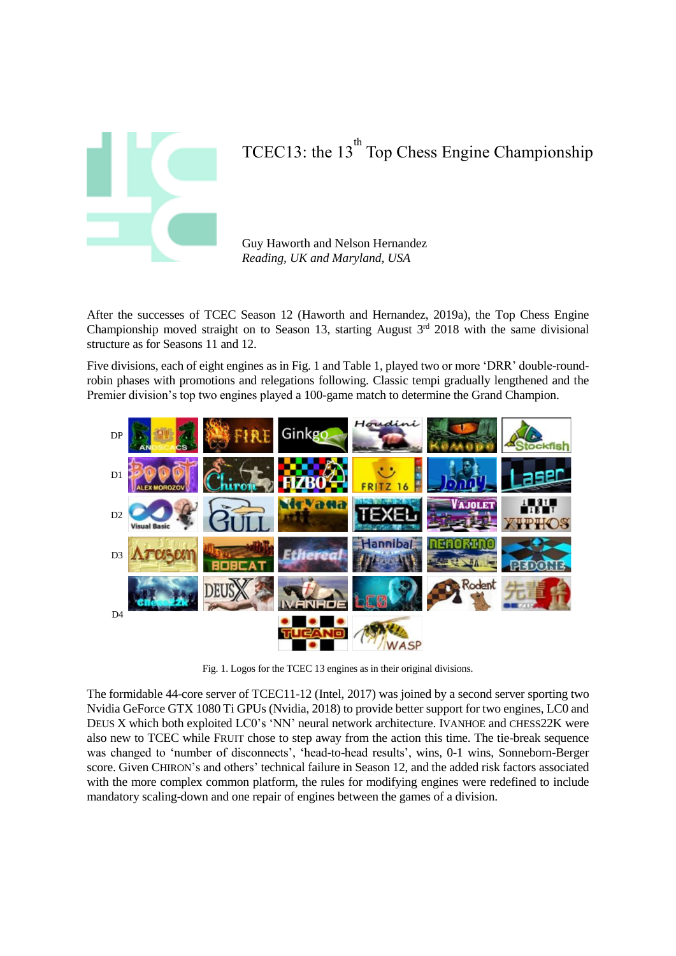

# TCEC13: the  $13<sup>th</sup>$  Top Chess Engine Championship

Guy Haworth and Nelson Hernandez *Reading, UK and Maryland, USA*

After the successes of TCEC Season 12 (Haworth and Hernandez, 2019a), the Top Chess Engine Championship moved straight on to Season 13, starting August  $3<sup>rd</sup>$  2018 with the same divisional structure as for Seasons 11 and 12.

Five divisions, each of eight engines as in Fig. 1 and Table 1, played two or more 'DRR' double-roundrobin phases with promotions and relegations following. Classic tempi gradually lengthened and the Premier division's top two engines played a 100-game match to determine the Grand Champion.



Fig. 1. Logos for the TCEC 13 engines as in their original divisions.

The formidable 44-core server of TCEC11-12 (Intel, 2017) was joined by a second server sporting two Nvidia GeForce GTX 1080 Ti GPUs (Nvidia, 2018) to provide better support for two engines, LC0 and DEUS X which both exploited LC0's 'NN' neural network architecture. IVANHOE and CHESS22K were also new to TCEC while FRUIT chose to step away from the action this time. The tie-break sequence was changed to 'number of disconnects', 'head-to-head results', wins, 0-1 wins, Sonneborn-Berger score. Given CHIRON's and others' technical failure in Season 12, and the added risk factors associated with the more complex common platform, the rules for modifying engines were redefined to include mandatory scaling-down and one repair of engines between the games of a division.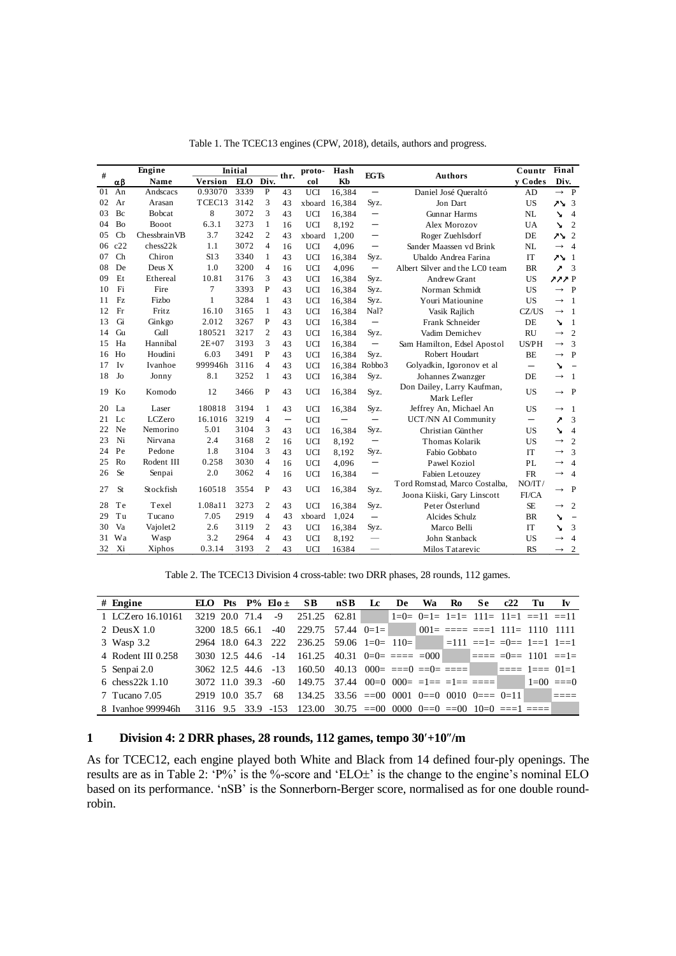|    |               | Engine               |           | Initial |                |                          | proto-     | Hash   |                          |                                                              | Countr                   | Final                    |                          |
|----|---------------|----------------------|-----------|---------|----------------|--------------------------|------------|--------|--------------------------|--------------------------------------------------------------|--------------------------|--------------------------|--------------------------|
| #  | $\alpha\beta$ | Name                 | Version   | ELO     | Div.           | thr.                     | col        | Kb     | <b>EGTs</b>              | <b>Authors</b>                                               | v Codes                  | Div.                     |                          |
| 01 | An            | Andscacs             | 0.93070   | 3339    | P              | 43                       | <b>UCI</b> | 16,384 | $\qquad \qquad -$        | Daniel José Queraltó                                         | AD                       | $\rightarrow$ P          |                          |
| 02 | Ar            | Arasan               | TCEC13    | 3142    | 3              | 43                       | xboard     | 16,384 | Syz.                     | Jon Dart                                                     | <b>US</b>                | $7\lambda$ 3             |                          |
| 03 | Bc            | Bobcat               | 8         | 3072    | 3              | 43                       | <b>UCI</b> | 16,384 | $\overline{\phantom{m}}$ | <b>Gunnar Harms</b>                                          | NL                       | ↘                        | $\overline{4}$           |
| 04 | Bo            | Booot                | 6.3.1     | 3273    | $\mathbf{1}$   | 16                       | <b>UCI</b> | 8.192  | $\qquad \qquad -$        | Alex Morozov                                                 | UA                       | ↘                        | $\overline{c}$           |
| 05 | Cb            | Chessbrain VB        | 3.7       | 3242    | $\mathfrak{2}$ | 43                       | xboard     | 1,200  | $\qquad \qquad -$        | Roger Zuehlsdorf                                             | DE                       | $2^2$                    |                          |
| 06 | c22           | chess22k             | 1.1       | 3072    | $\overline{4}$ | 16                       | <b>UCI</b> | 4,096  | $\qquad \qquad -$        | Sander Maassen vd Brink                                      | NL                       | $\rightarrow$            | $\overline{4}$           |
| 07 | Ch            | Chiron               | S13       | 3340    | $\mathbf{1}$   | 43                       | <b>UCI</b> | 16,384 | Syz.                     | Ubaldo Andrea Farina                                         | IT                       | $75 - 1$                 |                          |
| 08 | De            | Deus X               | 1.0       | 3200    | $\overline{4}$ | 16                       | <b>UCI</b> | 4,096  | $\overline{\phantom{m}}$ | Albert Silver and the LC0 team                               | <b>BR</b>                | 1                        | 3                        |
| 09 | Et            | Ethereal             | 10.81     | 3176    | 3              | 43                       | <b>UCI</b> | 16,384 | Syz.                     | <b>Andrew Grant</b>                                          | <b>US</b>                | 222P                     |                          |
| 10 | Fi            | Fire                 | $\tau$    | 3393    | P              | 43                       | <b>UCI</b> | 16,384 | Syz.                     | Norman Schmidt                                               | <b>US</b>                | $\rightarrow$            | $\mathbf{P}$             |
| 11 | Fz            | Fizbo                | 1         | 3284    | 1              | 43                       | <b>UCI</b> | 16,384 | Syz.                     | Youri Matiounine                                             | <b>US</b>                | $\rightarrow$            | 1                        |
| 12 | Fr            | Fritz                | 16.10     | 3165    | 1              | 43                       | <b>UCI</b> | 16,384 | Nal?                     | Vasik Rajlich                                                | CZ/US                    | $\rightarrow$            | 1                        |
| 13 | Gi            | Ginkgo               | 2.012     | 3267    | P              | 43                       | UCI        | 16,384 | $\overline{\phantom{0}}$ | Frank Schneider                                              | DE                       | N                        | 1                        |
| 14 | Gu            | Gull                 | 180521    | 3217    | $\overline{2}$ | 43                       | UCI        | 16,384 | Syz.                     | Vadim Demichev                                               | <b>RU</b>                | $\rightarrow$            | $\overline{2}$           |
| 15 | Ha            | Hannibal             | $2E + 07$ | 3193    | 3              | 43                       | <b>UCI</b> | 16,384 | $\qquad \qquad -$        | Sam Hamilton, Edsel Apostol                                  | <b>US/PH</b>             | $\rightarrow$            | 3                        |
| 16 | Ho            | Houdini              | 6.03      | 3491    | P              | 43                       | <b>UCI</b> | 16,384 | Syz.                     | Robert Houdart                                               | BE                       | $\rightarrow$            | $\mathbf{P}$             |
| 17 | Iv            | Ivanhoe              | 999946h   | 3116    | $\overline{4}$ | 43                       | <b>UCI</b> | 16,384 | Robbo3                   | Golyadkin, Igoronov et al                                    | $\overline{\phantom{0}}$ | ↘                        | $\overline{\phantom{0}}$ |
| 18 | Jo            | Jonny                | 8.1       | 3252    | $\mathbf{1}$   | 43                       | <b>UCI</b> | 16,384 | Syz.                     | Johannes Zwanzger                                            | DE                       | $\rightarrow$            | 1                        |
| 19 | Ko            | Komodo               | 12        | 3466    | P              | 43                       | <b>UCI</b> | 16,384 | Syz.                     | Don Dailey, Larry Kaufman,<br>Mark Lefler                    | <b>US</b>                | $\rightarrow$            | $\mathbf{P}$             |
| 20 | La            | Laser                | 180818    | 3194    | 1              | 43                       | <b>UCI</b> | 16,384 | Syz.                     | Jeffrey An, Michael An                                       | <b>US</b>                | $\rightarrow$            | 1                        |
| 21 | Lc            | LCZero               | 16.1016   | 3219    | 4              | $\overline{\phantom{m}}$ | <b>UCI</b> |        |                          | UCT/NN AI Community                                          | $\qquad \qquad \qquad$   | $\overline{\phantom{a}}$ | 3                        |
| 22 | Ne            | Nemorino             | 5.01      | 3104    | 3              | 43                       | <b>UCI</b> | 16,384 | Syz.                     | Christian Günther                                            | <b>US</b>                | ↘                        | $\overline{4}$           |
| 23 | Ni            | Nirvana              | 2.4       | 3168    | $\overline{c}$ | 16                       | <b>UCI</b> | 8,192  | $\qquad \qquad -$        | <b>Thomas Kolarik</b>                                        | US                       | $\rightarrow$            | $\overline{2}$           |
| 24 | Pe            | Pedone               | 1.8       | 3104    | 3              | 43                       | <b>UCI</b> | 8,192  | Syz.                     | Fabio Gobbato                                                | IT                       | $\rightarrow$            | 3                        |
| 25 | Ro            | Rodent III           | 0.258     | 3030    | $\overline{4}$ | 16                       | <b>UCI</b> | 4,096  | $\qquad \qquad -$        | Pawel Koziol                                                 | PL                       | $\rightarrow$            | $\overline{4}$           |
| 26 | <b>Se</b>     | Senpai               | 2.0       | 3062    | $\overline{4}$ | 16                       | <b>UCI</b> | 16,384 |                          | Fabien Letouzev                                              | ${\rm FR}$               | $\rightarrow$            | $\overline{4}$           |
| 27 | <b>St</b>     | Stockfish            | 160518    | 3554    | P              | 43                       | <b>UCI</b> | 16,384 | Syz.                     | Tord Romstad, Marco Costalba,<br>Joona Kiiski, Gary Linscott | NO/IT/<br>FI/CA          | $\rightarrow$            | P                        |
| 28 | Te            | Texel                | 1.08a11   | 3273    | $\overline{c}$ | 43                       | <b>UCI</b> | 16.384 | Syz.                     | Peter Österlund                                              | <b>SE</b>                | $\rightarrow$            | $\mathfrak{2}$           |
| 29 | Tu            | Tucano               | 7.05      | 2919    | $\overline{4}$ | 43                       | xboard     | 1,024  | $\overline{\phantom{0}}$ | <b>Alcides Schulz</b>                                        | <b>BR</b>                | ↘                        | $\overline{\phantom{0}}$ |
| 30 | Va            | Vajolet <sub>2</sub> | 2.6       | 3119    | 2              | 43                       | <b>UCI</b> | 16,384 | Syz.                     | Marco Belli                                                  | IT                       | ↘                        | 3                        |
| 31 | Wa            | Wasp                 | 3.2       | 2964    | 4              | 43                       | <b>UCI</b> | 8,192  |                          | John Stanback                                                | US                       | $\rightarrow$            | 4                        |
| 32 | Xi            | Xiphos               | 0.3.14    | 3193    | $\overline{c}$ | 43                       | UCI        | 16384  |                          | Milos Tatarevic                                              | <b>RS</b>                | $\longrightarrow$        | 2                        |

Table 2. The TCEC13 Division 4 cross-table: two DRR phases, 28 rounds, 112 games.

|                    |                |                |                         | Table 2. The TCEC13 Division 4 cross-table: two DRR phases, 28 rounds, 112 games. |     |      |    |    |     |                                                                                                                                                                                                                                                                                                                                                                    |     |    |    |
|--------------------|----------------|----------------|-------------------------|-----------------------------------------------------------------------------------|-----|------|----|----|-----|--------------------------------------------------------------------------------------------------------------------------------------------------------------------------------------------------------------------------------------------------------------------------------------------------------------------------------------------------------------------|-----|----|----|
| $#$ Engine         |                |                | ELO Pts $P\%$ Elo $\pm$ | SB.                                                                               | nSB | - Le | De | Wa | Ro. | Se -                                                                                                                                                                                                                                                                                                                                                               | c22 | Tu | Iv |
| 1 LCZero 16.10161  | 3219 20.0 71.4 |                | -9                      | 251.25 62.81                                                                      |     |      |    |    |     | $ 1=0=0=1=1=1=11=11=11=11=11=11$                                                                                                                                                                                                                                                                                                                                   |     |    |    |
| 2 Deus $X$ 1.0     |                | 3200 18.5 66.1 | $-40$                   | $229.75$ 57.44 $0=1=$                                                             |     |      |    |    |     | $001 = \frac{1}{200} = \frac{1}{200} = \frac{1}{200} = \frac{1}{200} = \frac{1}{200} = \frac{1}{200} = \frac{1}{200} = \frac{1}{200} = \frac{1}{200} = \frac{1}{200} = \frac{1}{200} = \frac{1}{200} = \frac{1}{200} = \frac{1}{200} = \frac{1}{200} = \frac{1}{200} = \frac{1}{200} = \frac{1}{200} = \frac{1}{200} = \frac{1}{200} = \frac{1}{200} = \frac{1}{2$ |     |    |    |
| 3 Wasp 3.2         |                |                | 2964 18.0 64.3 222      | $236.25$ 59.06 1=0= 110= $=111$ ==1= =0== 1==1 1==1                               |     |      |    |    |     |                                                                                                                                                                                                                                                                                                                                                                    |     |    |    |
| 4 Rodent III 0.258 |                |                |                         | 3030 12.5 44.6 -14 161.25 40.31 0=0= ==== =000 ===== =0= 1101 ==1=                |     |      |    |    |     |                                                                                                                                                                                                                                                                                                                                                                    |     |    |    |
| 5 Senpai 2.0       |                |                |                         | 3062 12.5 44.6 -13 160.50 40.13 000= ===0 ==0= ==== $\blacksquare$ ==== 1=== 01=1 |     |      |    |    |     |                                                                                                                                                                                                                                                                                                                                                                    |     |    |    |
| 6 chess $22k$ 1.10 |                | 3072 11.0 39.3 |                         | $-60$ 149.75 37.44 00=0 000= =1== =1== ==== 1=0 1=00 ===0                         |     |      |    |    |     |                                                                                                                                                                                                                                                                                                                                                                    |     |    |    |
| 7 Tucano 7.05      | 2919 10.0 35.7 |                | 68                      | $134.25$ $33.56$ $==00$ $0001$ $0==0$ $0010$ $0==0=11$                            |     |      |    |    |     |                                                                                                                                                                                                                                                                                                                                                                    |     |    |    |
| 8 Ivanhoe 999946h  |                |                | 3116 9.5 33.9 -153      | $123.00 \t30.75 = 00 \t0000 \t0 = 0 \t= 0 \t10 = 0 \t= 1 \t= 1$                   |     |      |    |    |     |                                                                                                                                                                                                                                                                                                                                                                    |     |    |    |

## **1 Division 4: 2 DRR phases, 28 rounds, 112 games, tempo 30+10/m**

As for TCEC12, each engine played both White and Black from 14 defined four-ply openings. The results are as in Table 2: 'P%' is the %-score and 'ELO±' is the change to the engine's nominal ELO based on its performance. 'nSB' is the Sonnerborn-Berger score, normalised as for one double roundrobin.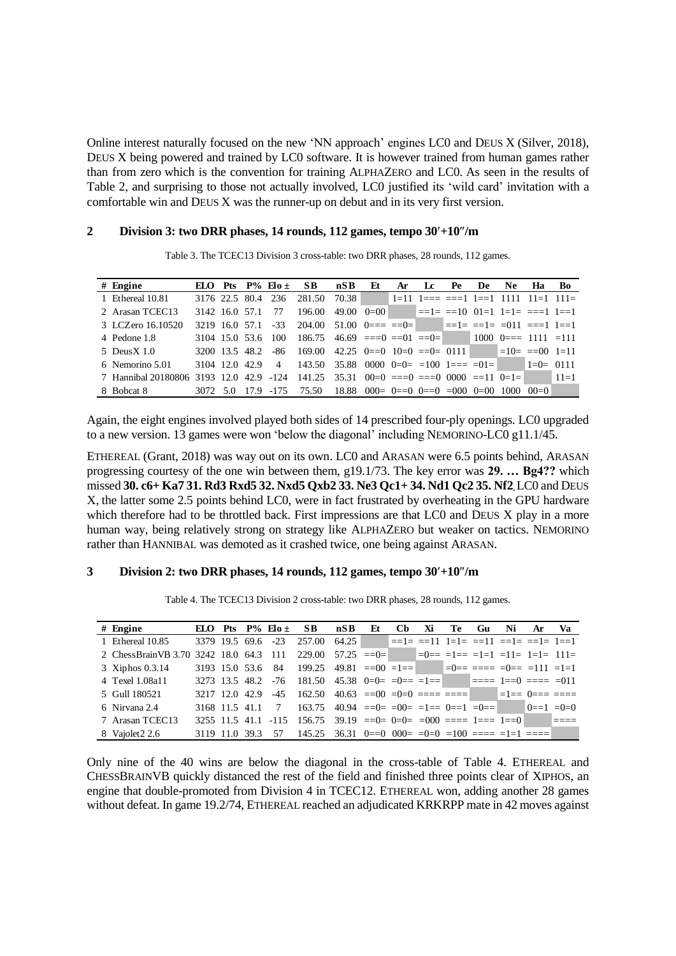Online interest naturally focused on the new 'NN approach' engines LC0 and DEUS X (Silver, 2018), DEUS X being powered and trained by LC0 software. It is however trained from human games rather than from zero which is the convention for training ALPHAZERO and LC0. As seen in the results of Table 2, and surprising to those not actually involved, LC0 justified its 'wild card' invitation with a comfortable win and DEUS X was the runner-up on debut and in its very first version.

#### **2 Division 3: two DRR phases, 14 rounds, 112 games, tempo 30+10/m**

|                                         |                |                |                         | Table 3. The TCEC13 Division 3 cross-table: two DRR phases, 28 rounds, 112 games. |                                                                         |              |    |                                       |    |    |     |                          |          |
|-----------------------------------------|----------------|----------------|-------------------------|-----------------------------------------------------------------------------------|-------------------------------------------------------------------------|--------------|----|---------------------------------------|----|----|-----|--------------------------|----------|
| $#$ Engine                              |                |                | ELO Pts $P\%$ Elo $\pm$ | SB.                                                                               | nSB                                                                     | Et           | Ar | Lc                                    | Pe | De | Ne. | Ha                       | Bo       |
| 1 Ethereal 10.81                        | 3176 22.5 80.4 |                | 236                     | 281.50                                                                            | 70.38                                                                   |              |    | │1=11 1=== ===1 1==1 1111 11=1 111=   |    |    |     |                          |          |
| 2 Arasan TCEC13                         | 3142 16.0 57.1 |                | 77                      | 196.00                                                                            |                                                                         | 49.00 $0=00$ |    | $\vert$ ==1= ==10 01=1 1=1= ===1 1==1 |    |    |     |                          |          |
| 3 LCZero 16.10520                       | 3219 16.0 57.1 |                | $-33$                   | 204.00 51.00 $0 = 20 = 0$                                                         |                                                                         |              |    |                                       |    |    |     |                          |          |
| 4 Pedone 1.8                            |                |                | 3104 15.0 53.6 100      | 186.75                                                                            | $46.69$ ===0 ==01 ==0=                                                  |              |    |                                       |    |    |     | $1000 \t 0 = 1111 = 111$ |          |
| 5 Deus $X$ 1.0                          |                | 3200 13.5 48.2 | -86                     | 169.00                                                                            | 42.25 $0 == 0$ $10 = 0$ $== 0 = 0111$                                   |              |    |                                       |    |    |     | $=10=$ $=00$ $1=11$      |          |
| 6 Nemorino 5.01                         | 3104 12.0 42.9 |                | $\overline{4}$          | $143.50$ $35.88$ 0000 $0=0=$ $=100$ $1=$ $=$ $=01=$                               |                                                                         |              |    |                                       |    |    |     | $1 = 0 = 0111$           |          |
| 7 Hannibal 20180806 3193 12.0 42.9 -124 |                |                |                         | $141.25$ 35.31 00=0 ===0 ===0 0000 ==11 0=1=                                      |                                                                         |              |    |                                       |    |    |     |                          | $11 = 1$ |
| 8 Bobcat 8                              | 3072 5.0       |                | 17.9 - 175              | 75.50                                                                             | $18.88 \quad 000 = 0 = 0 \quad 0 = 0 \quad 000 \quad 0 = 00 \quad 1000$ |              |    |                                       |    |    |     | $00=0$                   |          |

Again, the eight engines involved played both sides of 14 prescribed four-ply openings. LC0 upgraded to a new version. 13 games were won 'below the diagonal' including NEMORINO-LC0 g11.1/45.

ETHEREAL (Grant, 2018) was way out on its own. LC0 and ARASAN were 6.5 points behind, ARASAN progressing courtesy of the one win between them, g19.1/73. The key error was **29. … Bg4??** which missed **30. c6+ Ka7 31. Rd3 Rxd5 32. Nxd5 Qxb2 33. Ne3 Qc1+ 34. Nd1 Qc2 35. Nf2.**LC0 and DEUS X, the latter some 2.5 points behind LC0, were in fact frustrated by overheating in the GPU hardware which therefore had to be throttled back. First impressions are that LC0 and DEUS X play in a more human way, being relatively strong on strategy like ALPHAZERO but weaker on tactics. NEMORINO rather than HANNIBAL was demoted as it crashed twice, one being against ARASAN.

#### **3 Division 2: two DRR phases, 14 rounds, 112 games, tempo 30+10/m**

|                                         |                |                   |                         | Table 4. The TCEC13 Division 2 cross-table: two DRR phases, 28 rounds, 112 games.             |                                                |    |                |    |      |    |                  |    |    |
|-----------------------------------------|----------------|-------------------|-------------------------|-----------------------------------------------------------------------------------------------|------------------------------------------------|----|----------------|----|------|----|------------------|----|----|
| $#$ Engine                              |                |                   | ELO Pts $P\%$ Elo $\pm$ | SB.                                                                                           | nSB                                            | Et | C <sub>b</sub> | Xi | Te - | Gu | Ni               | Ar | Va |
| 1 Ethereal 10.85                        |                |                   | 3379 19.5 69.6 -23      | 257.00 64.25 $\equiv$ $=1$ $\equiv$ $=11$ $1$ $=1$ $\equiv$ $=11$ $\equiv$ $=1$ $\equiv$ $=1$ |                                                |    |                |    |      |    |                  |    |    |
| 2 ChessBrain VB 3.70 3242 18.0 64.3 111 |                |                   |                         | 229.00 57.25 ==0= $=0$ = $=1$ == $=1$ =1 $=11$ = $1$ =1 $= 11$ =                              |                                                |    |                |    |      |    |                  |    |    |
| 3 Xiphos 0.3.14                         |                | 3193 15.0 53.6 84 |                         | $199.25$ $49.81$ $==00$ $=1==$ $=0==$ $==$ $=0==$ $=111$ $=1=1$                               |                                                |    |                |    |      |    |                  |    |    |
| 4 Texel 1.08a11                         |                |                   |                         | 3273 13.5 48.2 -76 181.50 45.38 0=0= =0== =1== $\blacksquare$ ==== 1==0 ==== =011             |                                                |    |                |    |      |    |                  |    |    |
| 5 Gull 180521                           |                |                   |                         | 3217 12.0 42.9 -45 162.50                                                                     | $40.63$ ==00 =0=0 ==== ==== $=$ =1== 0=== ==== |    |                |    |      |    |                  |    |    |
| 6 Nirvana 2.4                           | 3168 11.5 41.1 |                   | $\overline{7}$          | 163.75                                                                                        | $40.94$ ==0= =00= =1== 0==1 =0==1              |    |                |    |      |    | $0 == 1 = 0 = 0$ |    |    |
| 7 Arasan TCEC13                         |                |                   | 3255 11.5 41.1 -115     | $156.75$ $39.19$ $==0=$ $0=0$ $==000$ $==1==1==0$                                             |                                                |    |                |    |      |    |                  |    |    |
| 8 Vaiolet 2 2.6                         | 3119 11.0 39.3 |                   |                         | 57 145.25 36.31 0==0 000= =0=0 =100 ==== =1=1 ====                                            |                                                |    |                |    |      |    |                  |    |    |

Only nine of the 40 wins are below the diagonal in the cross-table of Table 4. ETHEREAL and CHESSBRAINVB quickly distanced the rest of the field and finished three points clear of XIPHOS, an engine that double-promoted from Division 4 in TCEC12. ETHEREAL won, adding another 28 games without defeat. In game 19.2/74, ETHEREAL reached an adjudicated KRKRPP mate in 42 moves against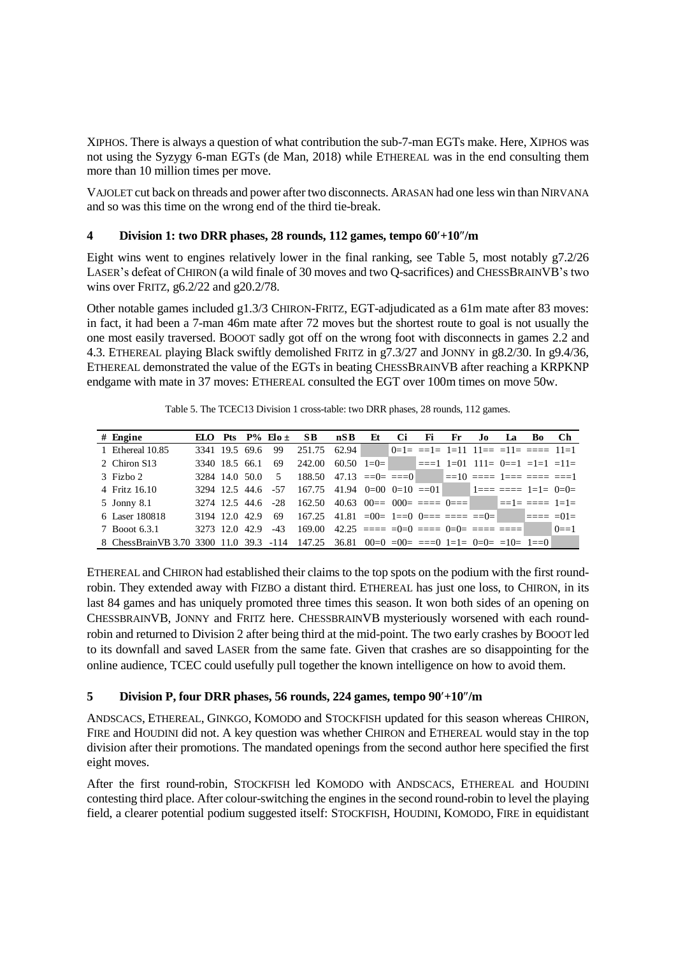XIPHOS. There is always a question of what contribution the sub-7-man EGTs make. Here, XIPHOS was not using the Syzygy 6-man EGTs (de Man, 2018) while ETHEREAL was in the end consulting them more than 10 million times per move.

VAJOLET cut back on threads and power after two disconnects. ARASAN had one less win than NIRVANA and so was this time on the wrong end of the third tie-break.

# **4 Division 1: two DRR phases, 28 rounds, 112 games, tempo 60+10/m**

Eight wins went to engines relatively lower in the final ranking, see Table 5, most notably g7.2/26 LASER's defeat of CHIRON (a wild finale of 30 moves and two Q-sacrifices) and CHESSBRAINVB's two wins over FRITZ, g6.2/22 and g20.2/78.

Other notable games included g1.3/3 CHIRON-FRITZ, EGT-adjudicated as a 61m mate after 83 moves: in fact, it had been a 7-man 46m mate after 72 moves but the shortest route to goal is not usually the one most easily traversed. BOOOT sadly got off on the wrong foot with disconnects in games 2.2 and 4.3. ETHEREAL playing Black swiftly demolished FRITZ in g7.3/27 and JONNY in g8.2/30. In g9.4/36, ETHEREAL demonstrated the value of the EGTs in beating CHESSBRAINVB after reaching a KRPKNP endgame with mate in 37 moves: ETHEREAL consulted the EGT over 100m times on move 50w.

|                                          |                    |                |                         | Table 5. The TCEC13 Division 1 cross-table: two DRR phases, 28 rounds, 112 games. |                                                |    |    |     |     |     |    |    |         |
|------------------------------------------|--------------------|----------------|-------------------------|-----------------------------------------------------------------------------------|------------------------------------------------|----|----|-----|-----|-----|----|----|---------|
| $#$ Engine                               |                    |                | ELO Pts $P\%$ Elo $\pm$ | SB.                                                                               | nSB                                            | Et | Ci | -Fi | Fr. | .Io | lа | Bo | Ch      |
| 1 Ethereal 10.85                         |                    | 3341 19.5 69.6 | 99                      | 251.75 62.94 $0=1=$ $=$ 1= 1=11 11== $=11=$ $=$ == 11=1                           |                                                |    |    |     |     |     |    |    |         |
| 2 Chiron S13                             | 3340 18.5 66.1     |                | 69                      | 242.00                                                                            | 60.50 $1=0=$ $=$ $1=01$ $11=0=1$ $=1=1$ $=11=$ |    |    |     |     |     |    |    |         |
| $3$ Fizho 2                              | 3284 14.0 50.0     |                | $5^{\circ}$             | $188.50$ $47.13$ $==0$ $==0$ $==10$ $==1$ $1==$ $==1$                             |                                                |    |    |     |     |     |    |    |         |
| 4 Fritz 16.10                            | 3294 12.5 44.6 -57 |                |                         | $167.75$ 41.94 $0=00$ $0=10$ $=-01$ $1= = 1=1=$ $0=0=$                            |                                                |    |    |     |     |     |    |    |         |
| 5 Jonny 8.1                              | 3274 12.5 44.6 -28 |                |                         | $162.50$ $40.63$ $00==$ $000==$ $1000==$ $000==$                                  |                                                |    |    |     |     |     |    |    |         |
| 6 Laser 180818                           | 3194 12.0 42.9     |                | -69                     |                                                                                   |                                                |    |    |     |     |     |    |    |         |
| 7 Booot 6.3.1                            | 3273 12.0 42.9     |                |                         | $-43$ 169.00 $42.25$ ==== =0=0 ==== 0=0= ==== ====                                |                                                |    |    |     |     |     |    |    | $0 = 1$ |
| 8 ChessBrain VB 3.70 3300 11.0 39.3 -114 |                    |                |                         | $147.25$ 36.81 00=0 =00= ===0 1=1= 0=0= =10= 1==0                                 |                                                |    |    |     |     |     |    |    |         |

Table 5. The TCEC13 Division 1 cross-table: two DRR phases, 28 rounds, 112 games.

ETHEREAL and CHIRON had established their claims to the top spots on the podium with the first roundrobin. They extended away with FIZBO a distant third. ETHEREAL has just one loss, to CHIRON, in its last 84 games and has uniquely promoted three times this season. It won both sides of an opening on CHESSBRAINVB, JONNY and FRITZ here. CHESSBRAINVB mysteriously worsened with each roundrobin and returned to Division 2 after being third at the mid-point. The two early crashes by BOOOT led to its downfall and saved LASER from the same fate. Given that crashes are so disappointing for the online audience, TCEC could usefully pull together the known intelligence on how to avoid them.

# **5 Division P, four DRR phases, 56 rounds, 224 games, tempo 90+10/m**

ANDSCACS, ETHEREAL, GINKGO, KOMODO and STOCKFISH updated for this season whereas CHIRON, FIRE and HOUDINI did not. A key question was whether CHIRON and ETHEREAL would stay in the top division after their promotions. The mandated openings from the second author here specified the first eight moves.

After the first round-robin, STOCKFISH led KOMODO with ANDSCACS, ETHEREAL and HOUDINI contesting third place. After colour-switching the engines in the second round-robin to level the playing field, a clearer potential podium suggested itself: STOCKFISH, HOUDINI, KOMODO, FIRE in equidistant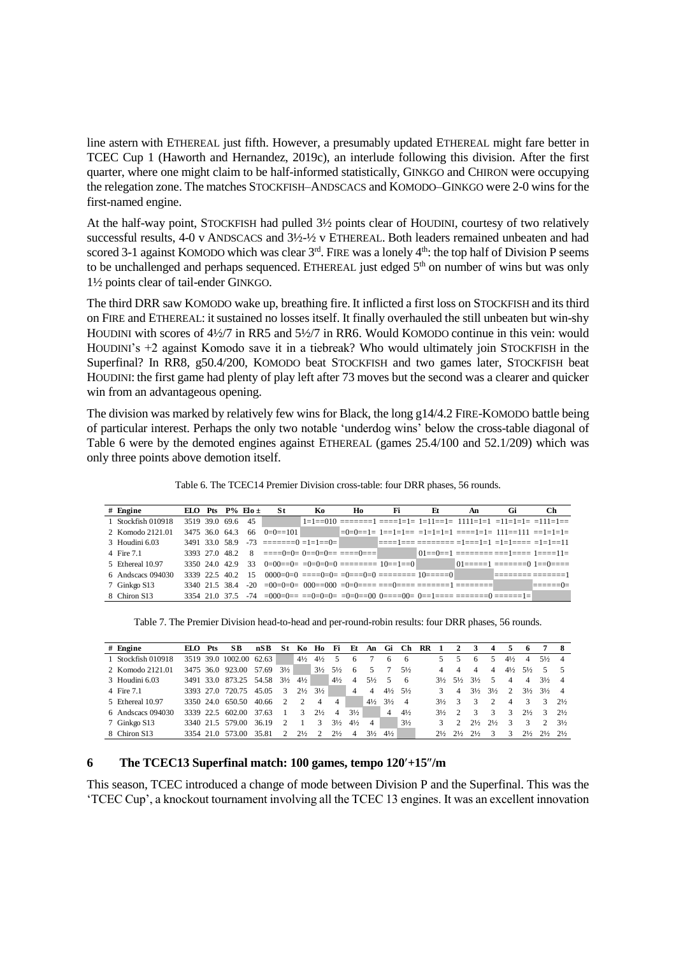line astern with ETHEREAL just fifth. However, a presumably updated ETHEREAL might fare better in TCEC Cup 1 (Haworth and Hernandez, 2019c), an interlude following this division. After the first quarter, where one might claim to be half-informed statistically, GINKGO and CHIRON were occupying the relegation zone. The matches STOCKFISH–ANDSCACS and KOMODO–GINKGO were 2-0 wins for the first-named engine.

At the half-way point, STOCKFISH had pulled 3½ points clear of HOUDINI, courtesy of two relatively successful results, 4-0 v ANDSCACS and 3½-½ v ETHEREAL. Both leaders remained unbeaten and had scored 3-1 against KOMODO which was clear 3<sup>rd</sup>. FIRE was a lonely 4<sup>th</sup>: the top half of Division P seems to be unchallenged and perhaps sequenced. ETHEREAL just edged 5<sup>th</sup> on number of wins but was only 1½ points clear of tail-ender GINKGO.

The third DRR saw KOMODO wake up, breathing fire. It inflicted a first loss on STOCKFISH and its third on FIRE and ETHEREAL: it sustained no losses itself. It finally overhauled the still unbeaten but win-shy HOUDINI with scores of 4½/7 in RR5 and 5½/7 in RR6. Would KOMODO continue in this vein: would HOUDINI's +2 against Komodo save it in a tiebreak? Who would ultimately join STOCKFISH in the Superfinal? In RR8, g50.4/200, KOMODO beat STOCKFISH and two games later, STOCKFISH beat HOUDINI: the first game had plenty of play left after 73 moves but the second was a clearer and quicker win from an advantageous opening.

The division was marked by relatively few wins for Black, the long g14/4.2 FIRE-KOMODO battle being of particular interest. Perhaps the only two notable 'underdog wins' below the cross-table diagonal of Table 6 were by the demoted engines against ETHEREAL (games 25.4/100 and 52.1/209) which was only three points above demotion itself.

|                    |                |  |                         |            |     |    |    |    | Table 6. The TCEC14 Premier Division cross-table: four DRR phases, 56 rounds.      |    |    |
|--------------------|----------------|--|-------------------------|------------|-----|----|----|----|------------------------------------------------------------------------------------|----|----|
| $#$ Engine         |                |  | ELO Pts $P\%$ Elo $\pm$ | -St        | Ko. | Ho | Fi | Et | An                                                                                 | Gi | Ch |
| 1 Stockfish 010918 | 3519 39.0 69.6 |  | 45                      |            |     |    |    |    | $1=1=-010$ =======1 ====1=1= 1=11==1= 1111=1=1 =11=1=1= =111=1==                   |    |    |
| 2. Komodo 2121 01  | 3475 36.0 64.3 |  | 66                      | $0=0=-101$ |     |    |    |    |                                                                                    |    |    |
| 3 Houdini 6.03     |                |  |                         |            |     |    |    |    |                                                                                    |    |    |
| 4 Fire 7.1         |                |  |                         |            |     |    |    |    |                                                                                    |    |    |
| 5 Ethereal 10.97   |                |  |                         |            |     |    |    |    |                                                                                    |    |    |
| 6 Andscacs 094030  | 3339 22.5 40.2 |  | 15                      |            |     |    |    |    |                                                                                    |    |    |
| 7 Ginkgo S13       | 3340 215 384   |  |                         |            |     |    |    |    |                                                                                    |    |    |
| 8 Chiron S13       |                |  |                         |            |     |    |    |    | 3354 21.0 37.5 -74 =000=0== ==0=0=0= =0=0==00 0====00= 0==1==== =======0 ======1=1 |    |    |

Table 6. The TCEC14 Premier Division cross-table: four DRR phases, 56 rounds.

Table 7. The Premier Division head-to-head and per-round-robin results: four DRR phases, 56 rounds.

| Table 7. The Premier Division head-to-head and per-round-robin results: four DRR phases, 56 rounds. |           |     |                         |            |                |                |                |                |                |                |                |                |    |                |                             |                |                             |                |                |                |                |
|-----------------------------------------------------------------------------------------------------|-----------|-----|-------------------------|------------|----------------|----------------|----------------|----------------|----------------|----------------|----------------|----------------|----|----------------|-----------------------------|----------------|-----------------------------|----------------|----------------|----------------|----------------|
| $#$ Engine                                                                                          | ELO.      | Pts | SB.                     | nSB        | St             | Ko.            | Ho             | Fi             | Ft.            | An             | Gi             | Ch             | RR |                |                             | 3              |                             |                | 6              |                | 8              |
| 1 Stockfish 010918                                                                                  |           |     | 3519 39.0 1002.00 62.63 |            |                | $4\frac{1}{2}$ | $4\frac{1}{2}$ | 5              | 6              |                | 6              | -6             |    | 5.             | 5                           | 6              | 5                           | $4\frac{1}{2}$ | 4              | $5\frac{1}{2}$ | 4              |
| 2. Komodo 2121 01                                                                                   | 3475 36.0 |     | 923.00                  | 57.69      | $3\frac{1}{2}$ |                | $3\frac{1}{2}$ | $5\frac{1}{2}$ | 6              | 5.             | 7              | $5\frac{1}{2}$ |    |                | 4                           | 4              | 4                           | $4\frac{1}{2}$ | $5\frac{1}{2}$ | 5              |                |
| 3 Houdini 6.03                                                                                      |           |     | 3491 33.0 873.25        | 54.58 31/2 |                | $4\frac{1}{2}$ |                | $4\frac{1}{2}$ | $\overline{4}$ | $5\frac{1}{2}$ | -5             | -6             |    | $3\frac{1}{2}$ | $5\frac{1}{2}$              | $3\frac{1}{2}$ | 5                           | 4              | $\overline{4}$ | $3\frac{1}{2}$ | 4              |
| 4 Fire 7.1                                                                                          | 3393 270  |     | 720.75                  | 45.05      | $\mathcal{R}$  | $2\frac{1}{2}$ | $3\frac{1}{2}$ |                | 4              | 4              | $4\frac{1}{2}$ | $5\frac{1}{2}$ |    | $\mathcal{F}$  | $\overline{4}$              | $3\frac{1}{2}$ | $3\frac{1}{2}$              | $\mathcal{L}$  | $3\frac{1}{2}$ | $3\frac{1}{2}$ | 4              |
| 5 Ethereal 10.97                                                                                    | 3350 240  |     | 650.50                  | 40.66      | $\mathcal{D}$  | $\mathcal{D}$  | 4              | 4              |                | $4\frac{1}{2}$ | $3\frac{1}{2}$ | $\overline{4}$ |    | $3\frac{1}{2}$ | $\mathcal{R}$               | 3              | $\mathcal{D}_{\mathcal{L}}$ | 4              | 3              | 3              | 21/2           |
| 6 Andscacs 094030                                                                                   | 3339 22.5 |     | 602.00                  | 37.63      |                | 3              | $2\frac{1}{2}$ | $\overline{4}$ | $3\frac{1}{2}$ |                | 4              | $4\frac{1}{2}$ |    | $3\frac{1}{2}$ | $\mathcal{D}_{\mathcal{A}}$ | 3              | 3                           | $\mathcal{F}$  | $2\frac{1}{2}$ | 3              | $2\frac{1}{2}$ |
| 7 Ginkgo S13                                                                                        |           |     | 3340 21.5 579.00        | 36.19      | 2              |                | 3              | $3\frac{1}{2}$ | $4\frac{1}{2}$ | 4              |                | $3\frac{1}{2}$ |    |                |                             | 21/2           | $2\frac{1}{2}$              | 3              | 3              | 2              | $3\frac{1}{2}$ |
| 8 Chiron S13                                                                                        |           |     | 3354 21.0 573.00        | 35.81      |                | $2\frac{1}{2}$ |                | $2\frac{1}{2}$ | 4              | $3\frac{1}{2}$ | $4\frac{1}{2}$ |                |    | $2\frac{1}{2}$ | $2\frac{1}{2}$              | $2\frac{1}{2}$ | 3                           | 3.             | $2\frac{1}{2}$ | $2\frac{1}{2}$ | 21/2           |

## **6 The TCEC13 Superfinal match: 100 games, tempo 120+15/m**

This season, TCEC introduced a change of mode between Division P and the Superfinal. This was the 'TCEC Cup', a knockout tournament involving all the TCEC 13 engines. It was an excellent innovation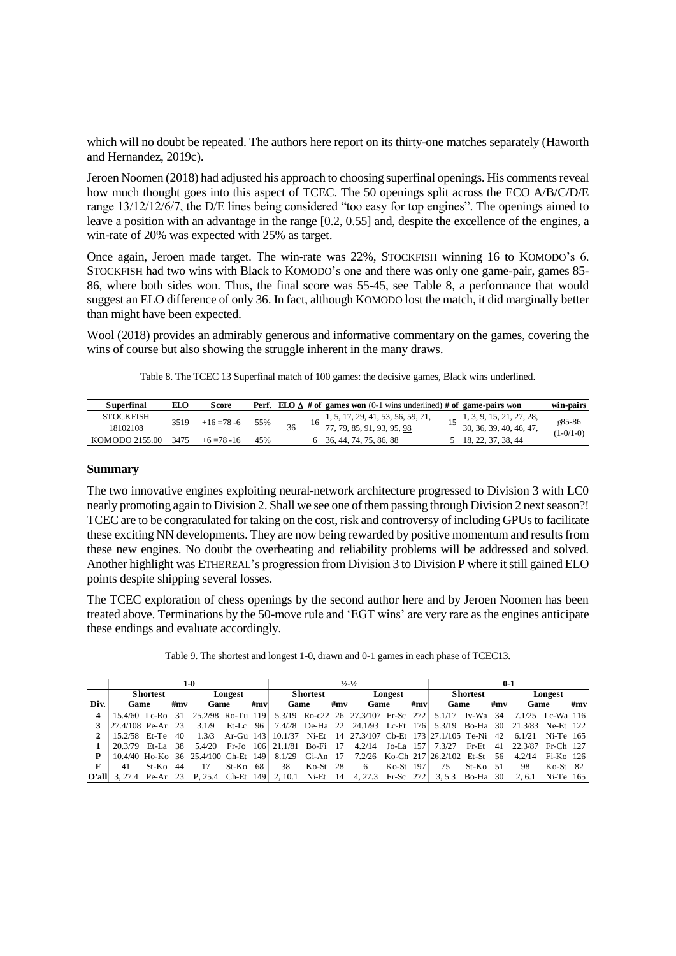which will no doubt be repeated. The authors here report on its thirty-one matches separately (Haworth and Hernandez, 2019c).

Jeroen Noomen (2018) had adjusted his approach to choosing superfinal openings. His comments reveal how much thought goes into this aspect of TCEC. The 50 openings split across the ECO A/B/C/D/E range 13/12/12/6/7, the D/E lines being considered "too easy for top engines". The openings aimed to leave a position with an advantage in the range [0.2, 0.55] and, despite the excellence of the engines, a win-rate of 20% was expected with 25% as target.

Once again, Jeroen made target. The win-rate was 22%, STOCKFISH winning 16 to KOMODO's 6. STOCKFISH had two wins with Black to KOMODO's one and there was only one game-pair, games 85- 86, where both sides won. Thus, the final score was 55-45, see Table 8, a performance that would suggest an ELO difference of only 36. In fact, although KOMODO lost the match, it did marginally better than might have been expected.

Wool (2018) provides an admirably generous and informative commentary on the games, covering the wins of course but also showing the struggle inherent in the many draws.

Table 8. The TCEC 13 Superfinal match of 100 games: the decisive games, Black wins underlined.

| Superfinal       | EΙΩ  | <b>Score</b> |     |    | <b>Perf.</b> ELO $\Delta$ # of games won (0-1 wins underlined) # of game-pairs won |                          | win-pairs   |
|------------------|------|--------------|-----|----|------------------------------------------------------------------------------------|--------------------------|-------------|
| <b>STOCKFISH</b> |      |              |     |    | $1, 5, 17, 29, 41, 53, \underline{56}, 59, 71,$                                    | 1, 3, 9, 15, 21, 27, 28, | g85-86      |
| 18102108         | 3519 | $+16=78-6$   | 55% | 36 | 77, 79, 85, 91, 93, 95, 98                                                         | 30, 36, 39, 40, 46, 47,  | $(1-0/1-0)$ |
| KOMODO 2155.00   | 3475 | $+6=78-16$   | 45% |    | 6 36, 44, 74, 75, 86, 88                                                           | 5 18, 22, 37, 38, 44     |             |

#### **Summary**

The two innovative engines exploiting neural-network architecture progressed to Division 3 with LC0 nearly promoting again to Division 2. Shall we see one of them passing through Division 2 next season?! TCEC are to be congratulated for taking on the cost, risk and controversy of including GPUs to facilitate these exciting NN developments. They are now being rewarded by positive momentum and results from these new engines. No doubt the overheating and reliability problems will be addressed and solved. Another highlight was ETHEREAL's progression from Division 3 to Division P where it still gained ELO points despite shipping several losses.

The TCEC exploration of chess openings by the second author here and by Jeroen Noomen has been treated above. Terminations by the 50-move rule and 'EGT wins' are very rare as the engines anticipate these endings and evaluate accordingly.

|      |                        |                 |     | $1-0$ |            |     |      |                 |     | $\frac{1}{2}$ $\frac{1}{2}$                                                                                         |             |         |      |                 | $0 - 1$ |      |            |     |
|------|------------------------|-----------------|-----|-------|------------|-----|------|-----------------|-----|---------------------------------------------------------------------------------------------------------------------|-------------|---------|------|-----------------|---------|------|------------|-----|
|      |                        | <b>Shortest</b> |     |       | Longest    |     |      | <b>Shortest</b> |     |                                                                                                                     | Longest     |         |      | <b>Shortest</b> |         |      | Longest    |     |
| Div. | Game                   |                 | #mv | Game  |            | #mv | Game |                 | #mv | Game                                                                                                                |             | # $m$ v | Game |                 | #mv     | Game |            | #mv |
|      |                        |                 |     |       |            |     |      |                 |     | 15.4/60 Lc-Ro 31 25.2/98 Ro-Tu 119 5.3/19 Ro-c22 26 27.3/107 Fr-Sc 272 5.1/17 Iv-Wa 34 7.1/25 Lc-Wa 116             |             |         |      |                 |         |      |            |     |
|      | 3 $ 27.4/108$ Pe-Ar 23 |                 |     |       |            |     |      |                 |     | 3.1/9 Et-Lc 96 7.4/28 De-Ha 22 24.1/93 Lc-Et 176 5.3/19 Bo-Ha 30 21.3/83 Ne-Et 122                                  |             |         |      |                 |         |      |            |     |
|      | 2   $15.2/58$ Et-Te 40 |                 |     |       |            |     |      |                 |     | 1.3/3 Ar-Gu 143   10.1/37 Ni-Et 14 27.3/107 Cb-Et 173   27.1/105 Te-Ni 42 6.1/21 Ni-Te 165                          |             |         |      |                 |         |      |            |     |
|      | 20.3/79 Et-La 38       |                 |     |       |            |     |      |                 |     | 5.4/20 Fr-Jo 106 21.1/81 Bo-Fi 17 4.2/14 Jo-La 157 7.3/27 Fr-Et 41 22.3/87 Fr-Ch 127                                |             |         |      |                 |         |      |            |     |
| P    |                        |                 |     |       |            |     |      |                 |     | 10.4/40 Ho-Ko 36 25.4/100 Ch-Et 149 8.1/29 Gi-An 17 7.2/26 Ko-Ch 217 26.2/102 Et-St 56 4.2/14 Fi-Ko 126             |             |         |      |                 |         |      |            |     |
| F    | 41                     | $St-Ko$ 44      |     | 17    | $St-Ko$ 68 |     | -38  | $Ko-St$ 28      |     | 6                                                                                                                   | $Ko-St$ 197 |         | 75   | $St-Ko$ 51      |         | 98   | $Ko-St$ 82 |     |
|      |                        |                 |     |       |            |     |      |                 |     | <b>O'all</b> 3, 27.4 Pe-Ar 23 P, 25.4 Ch-Et 149 2, 10.1 Ni-Et 14 4, 27.3 Fr-Sc 272 3, 5.3 Bo-Ha 30 2, 6.1 Ni-Te 165 |             |         |      |                 |         |      |            |     |

Table 9. The shortest and longest 1-0, drawn and 0-1 games in each phase of TCEC13.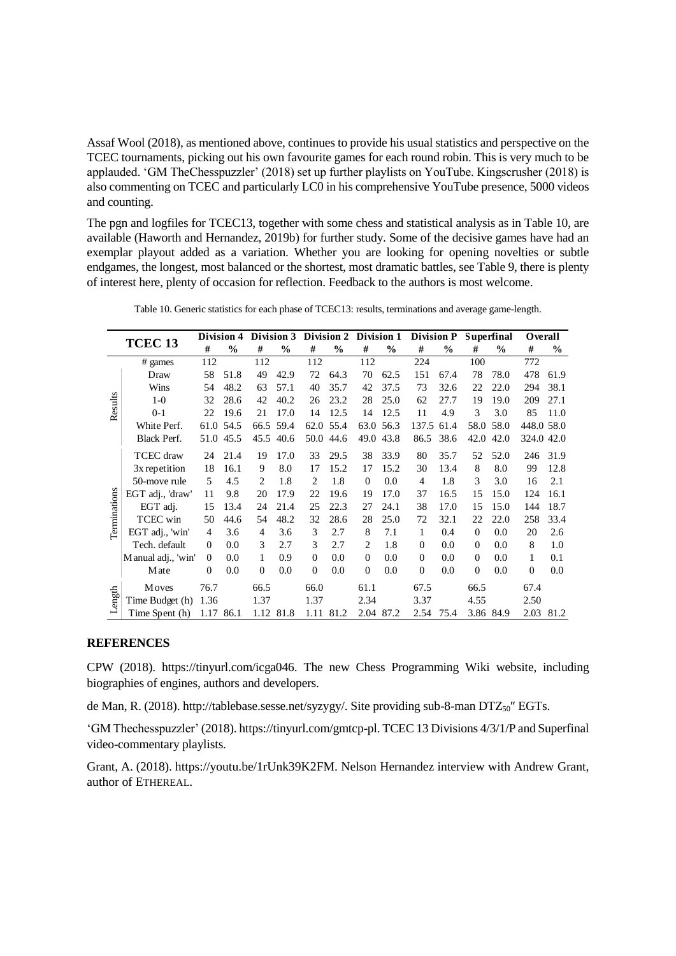Assaf Wool (2018), as mentioned above, continues to provide his usual statistics and perspective on the TCEC tournaments, picking out his own favourite games for each round robin. This is very much to be applauded. 'GM TheChesspuzzler' (2018) set up further playlists on YouTube. Kingscrusher (2018) is also commenting on TCEC and particularly LC0 in his comprehensive YouTube presence, 5000 videos and counting.

The pgn and logfiles for TCEC13, together with some chess and statistical analysis as in Table 10, are available (Haworth and Hernandez, 2019b) for further study. Some of the decisive games have had an exemplar playout added as a variation. Whether you are looking for opening novelties or subtle endgames, the longest, most balanced or the shortest, most dramatic battles, see Table 9, there is plenty of interest here, plenty of occasion for reflection. Feedback to the authors is most welcome.

|              |                    |                | Division 4    |               | Division 3    |          |               |                |               | Division 2 Division 1 Division P |               |          | <b>Superfinal</b> | Overall    |      |
|--------------|--------------------|----------------|---------------|---------------|---------------|----------|---------------|----------------|---------------|----------------------------------|---------------|----------|-------------------|------------|------|
|              | TCEC <sub>13</sub> | #              | $\frac{0}{0}$ | #             | $\frac{0}{0}$ | #        | $\frac{0}{0}$ | #              | $\frac{0}{0}$ | #                                | $\frac{0}{0}$ | #        | $\frac{0}{0}$     | #          | $\%$ |
|              | $#$ games          | 112            |               | 112           |               | 112      |               | 112            |               | 224                              |               | 100      |                   | 772        |      |
|              | Draw               | 58             | 51.8          | 49            | 42.9          | 72       | 64.3          | 70             | 62.5          | 151                              | 67.4          | 78       | 78.0              | 478        | 61.9 |
|              | Wins               | 54             | 48.2          | 63            | 57.1          | 40       | 35.7          | 42             | 37.5          | 73                               | 32.6          | 22       | 22.0              | 294        | 38.1 |
| Results      | $1-0$              | 32             | 28.6          | 42            | 40.2          | 26       | 23.2          | 28             | 25.0          | 62                               | 27.7          | 19       | 19.0              | 209        | 27.1 |
|              | $0 - 1$            | 22             | 19.6          | 21            | 17.0          | 14       | 12.5          | 14             | 12.5          | 11                               | 4.9           | 3        | 3.0               | 85         | 11.0 |
|              | White Perf.        | 61.0           | 54.5          | 66.5          | 59.4          | 62.0     | 55.4          | 63.0           | 56.3          | 137.5                            | 61.4          | 58.0     | 58.0              | 448.0 58.0 |      |
|              | <b>Black Perf.</b> | 51.0           | 45.5          | 45.5          | 40.6          | 50.0     | 44.6          | 49.0           | 43.8          | 86.5                             | 38.6          | 42.0     | 42.0              | 324.0 42.0 |      |
|              | TCEC draw          | 24             | 21.4          | 19            | 17.0          | 33       | 29.5          | 38             | 33.9          | 80                               | 35.7          | 52       | 52.0              | 246        | 31.9 |
|              | 3x repetition      | 18             | 16.1          | 9             | 8.0           | 17       | 15.2          | 17             | 15.2          | 30                               | 13.4          | 8        | 8.0               | 99         | 12.8 |
|              | 50-move rule       | 5              | 4.5           | $\mathcal{L}$ | 1.8           | 2        | 1.8           | $\overline{0}$ | 0.0           | 4                                | 1.8           | 3        | 3.0               | 16         | 2.1  |
|              | EGT adj., 'draw'   | 11             | 9.8           | 20            | 17.9          | 22       | 19.6          | 19             | 17.0          | 37                               | 16.5          | 15       | 15.0              | 124        | 16.1 |
|              | EGT adj.           | 15             | 13.4          | 24            | 21.4          | 25       | 22.3          | 27             | 24.1          | 38                               | 17.0          | 15       | 15.0              | 144        | 18.7 |
|              | TCEC win           | 50             | 44.6          | 54            | 48.2          | 32       | 28.6          | 28             | 25.0          | 72                               | 32.1          | 22       | 22.0              | 258        | 33.4 |
| Terminations | EGT adj., 'win'    | $\overline{4}$ | 3.6           | 4             | 3.6           | 3        | 2.7           | 8              | 7.1           | 1                                | 0.4           | $\Omega$ | 0.0               | 20         | 2.6  |
|              | Tech. default      | $\mathbf{0}$   | 0.0           | 3             | 2.7           | 3        | 2.7           | 2              | 1.8           | $\Omega$                         | 0.0           | $\Omega$ | 0.0               | 8          | 1.0  |
|              | Manual adj., 'win' | $\Omega$       | 0.0           | 1             | 0.9           | $\Omega$ | 0.0           | $\Omega$       | 0.0           | $\Omega$                         | 0.0           | $\Omega$ | 0.0               | 1          | 0.1  |
|              | Mate               | $\theta$       | 0.0           | $\Omega$      | 0.0           | $\Omega$ | 0.0           | 0              | 0.0           | $\Omega$                         | 0.0           | $\Omega$ | 0.0               | $\Omega$   | 0.0  |
|              | Moves              | 76.7           |               | 66.5          |               | 66.0     |               | 61.1           |               | 67.5                             |               | 66.5     |                   | 67.4       |      |
| Length       | Time Budget (h)    | 1.36           |               | 1.37          |               | 1.37     |               | 2.34           |               | 3.37                             |               | 4.55     |                   | 2.50       |      |
|              | Time Spent (h)     | 1.17 86.1      |               |               | 1.12 81.8     |          | 1.11 81.2     | 2.04           | 87.2          | 2.54 75.4                        |               |          | 3.86 84.9         | 2.03       | 81.2 |

Table 10. Generic statistics for each phase of TCEC13: results, terminations and average game-length.

#### **REFERENCES**

CPW (2018). https://tinyurl.com/icga046. The new Chess Programming Wiki website, including biographies of engines, authors and developers.

de Man, R. (2018). http://tablebase.sesse.net/syzygy/. Site providing sub-8-man DTZ<sub>50</sub>" EGTs.

'GM Thechesspuzzler' (2018)[. https://tinyurl.com/gmtcp-pl.](https://tinyurl.com/gmtcp-pl) TCEC 13 Divisions 4/3/1/P and Superfinal video-commentary playlists.

Grant, A. (2018). [https://youtu.be/1rUnk39K2FM.](https://youtu.be/1rUnk39K2FM) Nelson Hernandez interview with Andrew Grant, author of ETHEREAL.